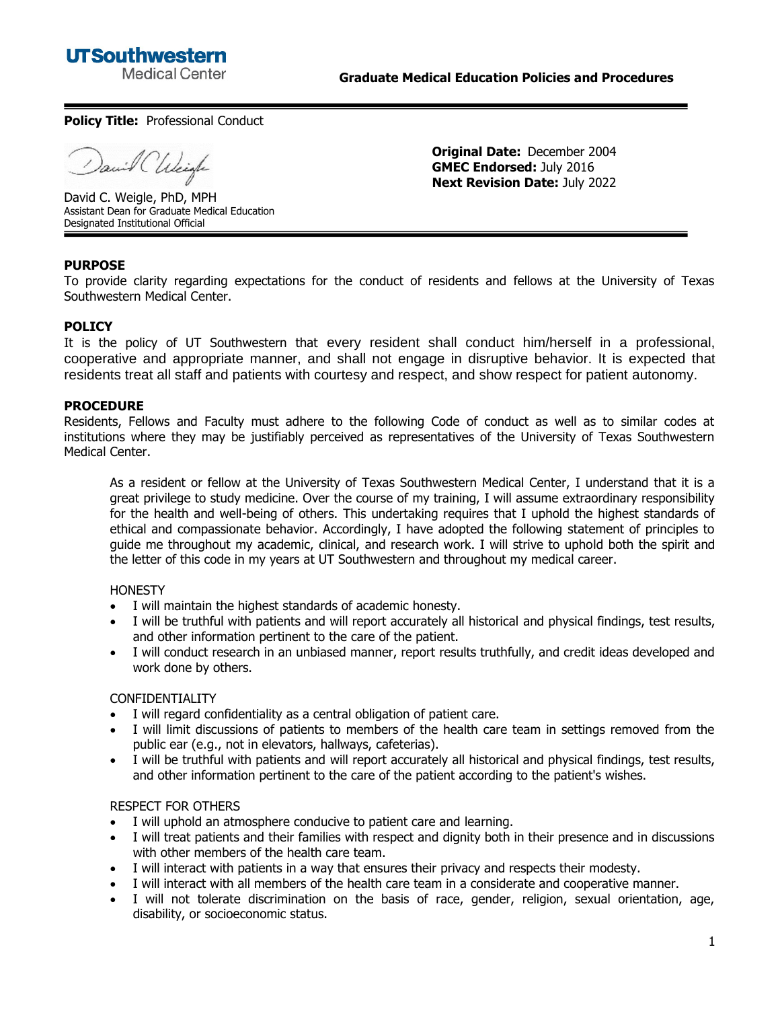

**Original Date:** December 2004 **GMEC Endorsed:** July 2016 **Next Revision Date:** July 2022

#### **Policy Title: Professional Conduct**

il Chleigh

David C. Weigle, PhD, MPH Assistant Dean for Graduate Medical Education Designated Institutional Official

# **PURPOSE**

To provide clarity regarding expectations for the conduct of residents and fellows at the University of Texas Southwestern Medical Center.

# **POLICY**

It is the policy of UT Southwestern that every resident shall conduct him/herself in a professional, cooperative and appropriate manner, and shall not engage in disruptive behavior. It is expected that residents treat all staff and patients with courtesy and respect, and show respect for patient autonomy.

#### **PROCEDURE**

Residents, Fellows and Faculty must adhere to the following Code of conduct as well as to similar codes at institutions where they may be justifiably perceived as representatives of the University of Texas Southwestern Medical Center.

As a resident or fellow at the University of Texas Southwestern Medical Center, I understand that it is a great privilege to study medicine. Over the course of my training, I will assume extraordinary responsibility for the health and well-being of others. This undertaking requires that I uphold the highest standards of ethical and compassionate behavior. Accordingly, I have adopted the following statement of principles to guide me throughout my academic, clinical, and research work. I will strive to uphold both the spirit and the letter of this code in my years at UT Southwestern and throughout my medical career.

#### **HONESTY**

- I will maintain the highest standards of academic honesty.
- I will be truthful with patients and will report accurately all historical and physical findings, test results, and other information pertinent to the care of the patient.
- I will conduct research in an unbiased manner, report results truthfully, and credit ideas developed and work done by others.

#### CONFIDENTIALITY

- I will regard confidentiality as a central obligation of patient care.
- I will limit discussions of patients to members of the health care team in settings removed from the public ear (e.g., not in elevators, hallways, cafeterias).
- I will be truthful with patients and will report accurately all historical and physical findings, test results, and other information pertinent to the care of the patient according to the patient's wishes.

#### RESPECT FOR OTHERS

- I will uphold an atmosphere conducive to patient care and learning.
- I will treat patients and their families with respect and dignity both in their presence and in discussions with other members of the health care team.
- I will interact with patients in a way that ensures their privacy and respects their modesty.
- I will interact with all members of the health care team in a considerate and cooperative manner.
- I will not tolerate discrimination on the basis of race, gender, religion, sexual orientation, age, disability, or socioeconomic status.